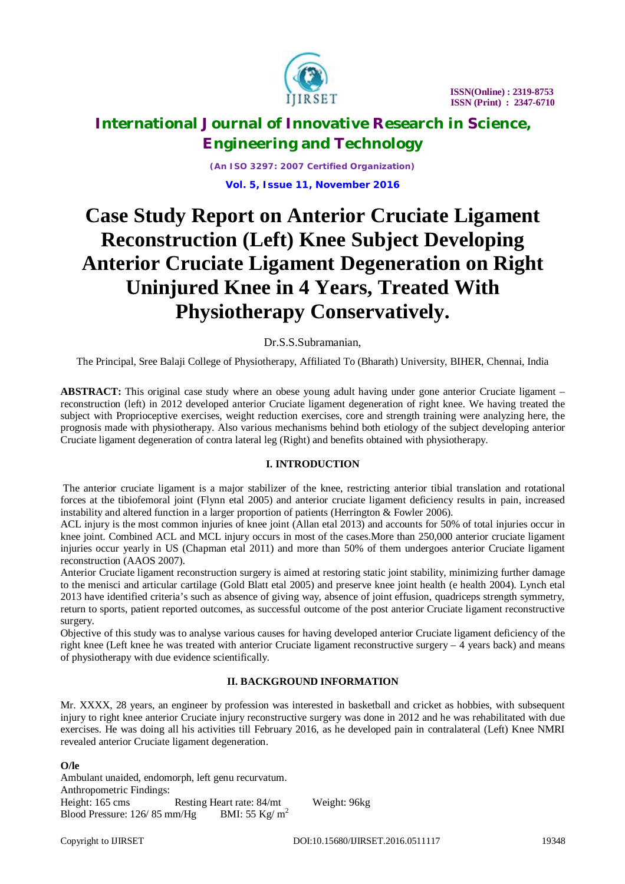

*(An ISO 3297: 2007 Certified Organization)* **Vol. 5, Issue 11, November 2016**

# **Case Study Report on Anterior Cruciate Ligament Reconstruction (Left) Knee Subject Developing Anterior Cruciate Ligament Degeneration on Right Uninjured Knee in 4 Years, Treated With Physiotherapy Conservatively.**

### Dr.S.S.Subramanian,

The Principal, Sree Balaji College of Physiotherapy, Affiliated To (Bharath) University, BIHER, Chennai, India

**ABSTRACT:** This original case study where an obese young adult having under gone anterior Cruciate ligament – reconstruction (left) in 2012 developed anterior Cruciate ligament degeneration of right knee. We having treated the subject with Proprioceptive exercises, weight reduction exercises, core and strength training were analyzing here, the prognosis made with physiotherapy. Also various mechanisms behind both etiology of the subject developing anterior Cruciate ligament degeneration of contra lateral leg (Right) and benefits obtained with physiotherapy.

### **I. INTRODUCTION**

The anterior cruciate ligament is a major stabilizer of the knee, restricting anterior tibial translation and rotational forces at the tibiofemoral joint (Flynn etal 2005) and anterior cruciate ligament deficiency results in pain, increased instability and altered function in a larger proportion of patients (Herrington & Fowler 2006).

ACL injury is the most common injuries of knee joint (Allan etal 2013) and accounts for 50% of total injuries occur in knee joint. Combined ACL and MCL injury occurs in most of the cases.More than 250,000 anterior cruciate ligament injuries occur yearly in US (Chapman etal 2011) and more than 50% of them undergoes anterior Cruciate ligament reconstruction (AAOS 2007).

Anterior Cruciate ligament reconstruction surgery is aimed at restoring static joint stability, minimizing further damage to the menisci and articular cartilage (Gold Blatt etal 2005) and preserve knee joint health (e health 2004). Lynch etal 2013 have identified criteria's such as absence of giving way, absence of joint effusion, quadriceps strength symmetry, return to sports, patient reported outcomes, as successful outcome of the post anterior Cruciate ligament reconstructive surgery.

Objective of this study was to analyse various causes for having developed anterior Cruciate ligament deficiency of the right knee (Left knee he was treated with anterior Cruciate ligament reconstructive surgery – 4 years back) and means of physiotherapy with due evidence scientifically.

### **II. BACKGROUND INFORMATION**

Mr. XXXX, 28 years, an engineer by profession was interested in basketball and cricket as hobbies, with subsequent injury to right knee anterior Cruciate injury reconstructive surgery was done in 2012 and he was rehabilitated with due exercises. He was doing all his activities till February 2016, as he developed pain in contralateral (Left) Knee NMRI revealed anterior Cruciate ligament degeneration.

#### **O/le**

Ambulant unaided, endomorph, left genu recurvatum. Anthropometric Findings: Height: 165 cms Resting Heart rate: 84/mt Weight: 96kg Blood Pressure:  $126/85$  mm/Hg BMI:  $55$  Kg/m<sup>2</sup>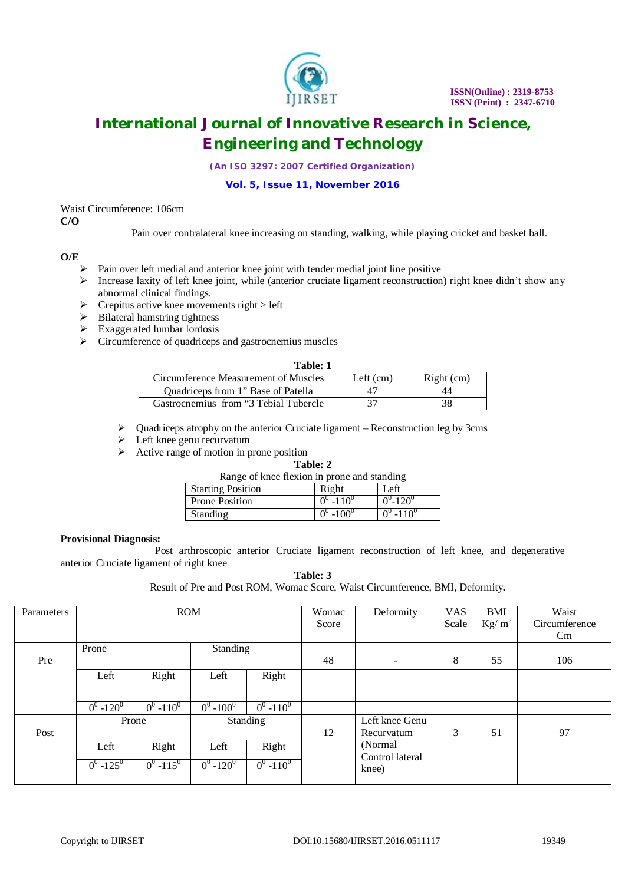

*(An ISO 3297: 2007 Certified Organization)*

#### **Vol. 5, Issue 11, November 2016**

#### Waist Circumference: 106cm **C/O**

Pain over contralateral knee increasing on standing, walking, while playing cricket and basket ball.

### **O/E**

- $\triangleright$  Pain over left medial and anterior knee joint with tender medial joint line positive
- Increase laxity of left knee joint, while (anterior cruciate ligament reconstruction) right knee didn't show any abnormal clinical findings.
- $\triangleright$  Crepitus active knee movements right > left
- $\triangleright$  Bilateral hamstring tightness
- $\triangleright$  Exaggerated lumbar lordosis
- $\triangleright$  Circumference of quadriceps and gastrocnemius muscles

| Circumference Measurement of Muscles   | Left $(cm)$ | $Right$ (cm) |
|----------------------------------------|-------------|--------------|
| Quadriceps from 1" Base of Patella     | 47          | 44           |
| Gastrocnemius from "3 Tebial Tubercle" |             | 38           |

Quadriceps atrophy on the anterior Cruciate ligament – Reconstruction leg by 3cms

- > Left knee genu recurvatum
- $\triangleright$  Active range of motion in prone position

#### **Table: 2** Range of knee flexion in prone and standing

| Range of Knee heaton in prone and standing |               |               |  |  |  |
|--------------------------------------------|---------------|---------------|--|--|--|
| <b>Starting Position</b>                   | Right         | Left          |  |  |  |
| <b>Prone Position</b>                      | $0^0 - 110^0$ | $0^0 - 120^0$ |  |  |  |
| <b>Standing</b>                            | $0^0 - 100^0$ | $0^0 - 110^0$ |  |  |  |

#### **Provisional Diagnosis:**

 Post arthroscopic anterior Cruciate ligament reconstruction of left knee, and degenerative anterior Cruciate ligament of right knee

| Table: 3                                                                      |  |
|-------------------------------------------------------------------------------|--|
| Result of Pre and Post ROM, Womac Score, Waist Circumference, BMI, Deformity. |  |

| Parameters | <b>ROM</b>        |                         |               |               | Womac | Deformity                | <b>VAS</b> | BMI                    | Waist         |
|------------|-------------------|-------------------------|---------------|---------------|-------|--------------------------|------------|------------------------|---------------|
|            |                   |                         |               |               | Score |                          | Scale      | $\text{Kg}/\text{m}^2$ | Circumference |
|            |                   |                         |               |               |       |                          |            |                        |               |
|            |                   |                         |               |               |       |                          |            |                        | $\rm Cm$      |
|            | Standing<br>Prone |                         |               |               |       |                          |            |                        |               |
| Pre        |                   |                         |               |               | 48    | $\overline{\phantom{a}}$ | 8          | 55                     | 106           |
|            |                   |                         |               |               |       |                          |            |                        |               |
|            | Left              | Right                   | Left          | Right         |       |                          |            |                        |               |
|            |                   |                         |               |               |       |                          |            |                        |               |
|            |                   |                         |               |               |       |                          |            |                        |               |
|            | $0^0 - 120^0$     | $0^0 - 110^0$           | $0^0 - 100^0$ | $0^0 - 110^0$ |       |                          |            |                        |               |
|            | Prone             |                         | Standing      |               |       | Left knee Genu           |            |                        |               |
| Post       |                   |                         | 12            | Recurvatum    | 3     | 51                       | 97         |                        |               |
|            |                   |                         |               |               |       |                          |            |                        |               |
|            | Left              | Right                   | Left          | Right         |       | (Normal)                 |            |                        |               |
|            |                   |                         |               |               |       | Control lateral          |            |                        |               |
|            | $0^0 - 125^0$     | $0^0$ -115 <sup>0</sup> | $0^0 - 120^0$ | $0^0 - 110^0$ |       | knee)                    |            |                        |               |
|            |                   |                         |               |               |       |                          |            |                        |               |
|            |                   |                         |               |               |       |                          |            |                        |               |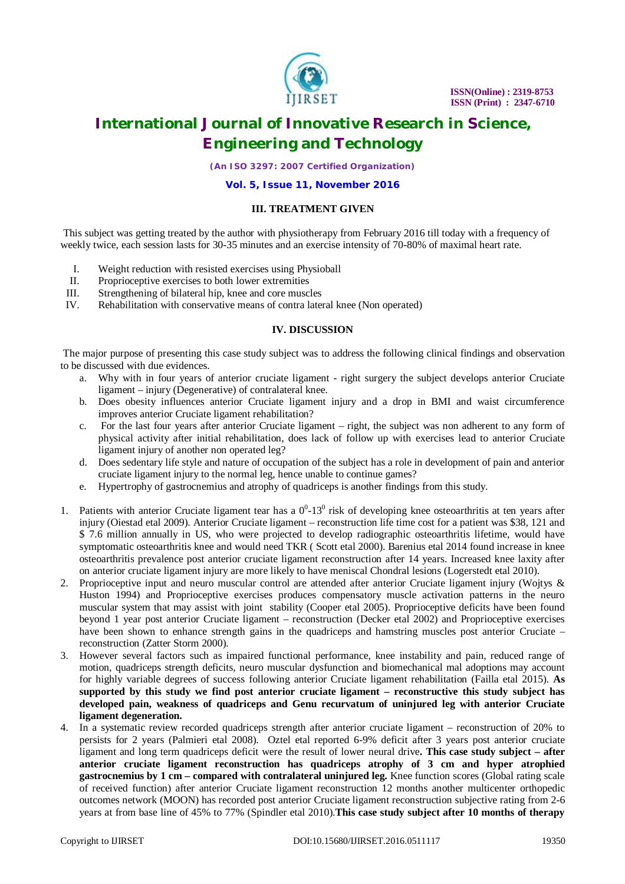

*(An ISO 3297: 2007 Certified Organization)*

**Vol. 5, Issue 11, November 2016**

#### **III. TREATMENT GIVEN**

This subject was getting treated by the author with physiotherapy from February 2016 till today with a frequency of weekly twice, each session lasts for 30-35 minutes and an exercise intensity of 70-80% of maximal heart rate.

- I. Weight reduction with resisted exercises using Physioball
- II. Proprioceptive exercises to both lower extremities
- III. Strengthening of bilateral hip, knee and core muscles<br>IV. Rehabilitation with conservative means of contra later
- Rehabilitation with conservative means of contra lateral knee (Non operated)

#### **IV. DISCUSSION**

The major purpose of presenting this case study subject was to address the following clinical findings and observation to be discussed with due evidences.

- a. Why with in four years of anterior cruciate ligament right surgery the subject develops anterior Cruciate ligament – injury (Degenerative) of contralateral knee.
- b. Does obesity influences anterior Cruciate ligament injury and a drop in BMI and waist circumference improves anterior Cruciate ligament rehabilitation?
- c. For the last four years after anterior Cruciate ligament right, the subject was non adherent to any form of physical activity after initial rehabilitation, does lack of follow up with exercises lead to anterior Cruciate ligament injury of another non operated leg?
- d. Does sedentary life style and nature of occupation of the subject has a role in development of pain and anterior cruciate ligament injury to the normal leg, hence unable to continue games?
- e. Hypertrophy of gastrocnemius and atrophy of quadriceps is another findings from this study.
- 1. Patients with anterior Cruciate ligament tear has a  $0^0$ -13<sup>0</sup> risk of developing knee osteoarthritis at ten years after injury (Oiestad etal 2009). Anterior Cruciate ligament – reconstruction life time cost for a patient was \$38, 121 and \$ 7.6 million annually in US, who were projected to develop radiographic osteoarthritis lifetime, would have symptomatic osteoarthritis knee and would need TKR ( Scott etal 2000). Barenius etal 2014 found increase in knee osteoarthritis prevalence post anterior cruciate ligament reconstruction after 14 years. Increased knee laxity after on anterior cruciate ligament injury are more likely to have meniscal Chondral lesions (Logerstedt etal 2010).
- 2. Proprioceptive input and neuro muscular control are attended after anterior Cruciate ligament injury (Wojtys & Huston 1994) and Proprioceptive exercises produces compensatory muscle activation patterns in the neuro muscular system that may assist with joint stability (Cooper etal 2005). Proprioceptive deficits have been found beyond 1 year post anterior Cruciate ligament – reconstruction (Decker etal 2002) and Proprioceptive exercises have been shown to enhance strength gains in the quadriceps and hamstring muscles post anterior Cruciate – reconstruction (Zatter Storm 2000).
- 3. However several factors such as impaired functional performance, knee instability and pain, reduced range of motion, quadriceps strength deficits, neuro muscular dysfunction and biomechanical mal adoptions may account for highly variable degrees of success following anterior Cruciate ligament rehabilitation (Failla etal 2015). **As supported by this study we find post anterior cruciate ligament – reconstructive this study subject has developed pain, weakness of quadriceps and Genu recurvatum of uninjured leg with anterior Cruciate ligament degeneration.**
- 4. In a systematic review recorded quadriceps strength after anterior cruciate ligament reconstruction of 20% to persists for 2 years (Palmieri etal 2008). Oztel etal reported 6-9% deficit after 3 years post anterior cruciate ligament and long term quadriceps deficit were the result of lower neural drive**. This case study subject – after anterior cruciate ligament reconstruction has quadriceps atrophy of 3 cm and hyper atrophied gastrocnemius by 1 cm – compared with contralateral uninjured leg.** Knee function scores (Global rating scale of received function) after anterior Cruciate ligament reconstruction 12 months another multicenter orthopedic outcomes network (MOON) has recorded post anterior Cruciate ligament reconstruction subjective rating from 2-6 years at from base line of 45% to 77% (Spindler etal 2010).**This case study subject after 10 months of therapy**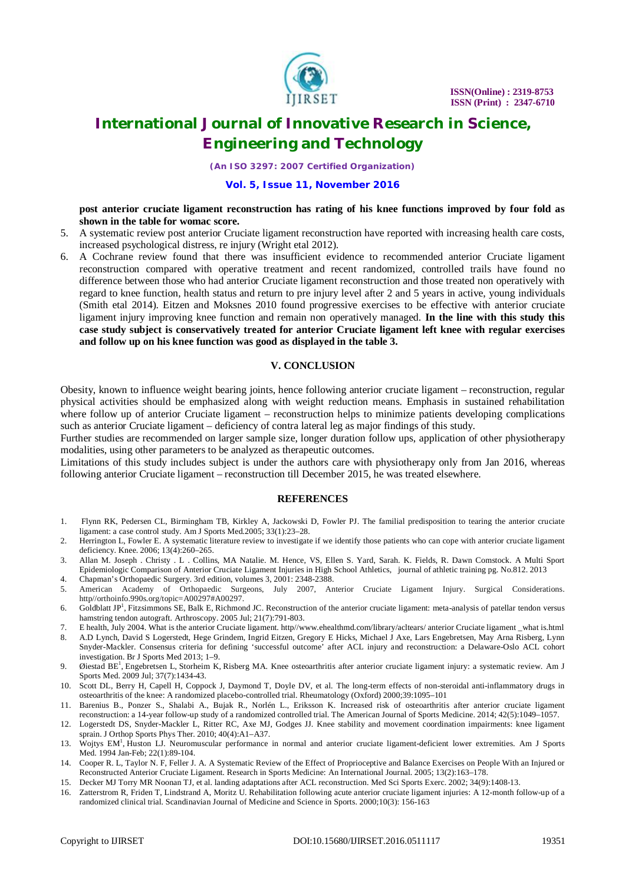

*(An ISO 3297: 2007 Certified Organization)*

#### **Vol. 5, Issue 11, November 2016**

**post anterior cruciate ligament reconstruction has rating of his knee functions improved by four fold as shown in the table for womac score.**

- 5. A systematic review post anterior Cruciate ligament reconstruction have reported with increasing health care costs, increased psychological distress, re injury (Wright etal 2012).
- 6. A Cochrane review found that there was insufficient evidence to recommended anterior Cruciate ligament reconstruction compared with operative treatment and recent randomized, controlled trails have found no difference between those who had anterior Cruciate ligament reconstruction and those treated non operatively with regard to knee function, health status and return to pre injury level after 2 and 5 years in active, young individuals (Smith etal 2014). Eitzen and Moksnes 2010 found progressive exercises to be effective with anterior cruciate ligament injury improving knee function and remain non operatively managed. **In the line with this study this case study subject is conservatively treated for anterior Cruciate ligament left knee with regular exercises and follow up on his knee function was good as displayed in the table 3.**

#### **V. CONCLUSION**

Obesity, known to influence weight bearing joints, hence following anterior cruciate ligament – reconstruction, regular physical activities should be emphasized along with weight reduction means. Emphasis in sustained rehabilitation where follow up of anterior Cruciate ligament – reconstruction helps to minimize patients developing complications such as anterior Cruciate ligament – deficiency of contra lateral leg as major findings of this study.

Further studies are recommended on larger sample size, longer duration follow ups, application of other physiotherapy modalities, using other parameters to be analyzed as therapeutic outcomes.

Limitations of this study includes subject is under the authors care with physiotherapy only from Jan 2016, whereas following anterior Cruciate ligament – reconstruction till December 2015, he was treated elsewhere.

#### **REFERENCES**

- 1. Flynn RK, Pedersen CL, Birmingham TB, Kirkley A, Jackowski D, Fowler PJ. The familial predisposition to tearing the anterior cruciate ligament: a case control study. Am J Sports Med*.*2005; 33(1):23–28.
- 2. Herrington L, Fowler E. A systematic literature review to investigate if we identify those patients who can cope with anterior cruciate ligament deficiency. Knee. 2006; 13(4):260–265.
- 3. Allan M. Joseph . Christy . L . Collins, MA Natalie. M. Hence, VS, Ellen S. Yard, Sarah. K. Fields, R. Dawn Comstock. A Multi Sport Epidemiologic Comparison of Anterior Cruciate Ligament Injuries in High School Athletics, journal of athletic training pg. No.812. 2013
- 4. Chapman's Orthopaedic Surgery. 3rd edition, volumes 3, 2001: 2348-2388.
- 5. American Academy of Orthopaedic Surgeons, July 2007, Anterior Cruciate Ligament Injury. Surgical Considerations. http//orthoinfo.990s.org/topic=A00297#A00297.
- 6. Goldblatt JP<sup>1</sup>, Fitzsimmons SE, Balk E, Richmond JC. Reconstruction of the anterior cruciate ligament: meta-analysis of patellar tendon versus hamstring tendon autograft. Arthroscopy. 2005 Jul; 21(7):791-803.
- 7. E health, July 2004. What is the anterior Cruciate ligament. http//[www.ehealthmd.com/library/acltears/](http://www.ehealthmd.com/library/acltears/) anterior Cruciate ligament \_what is.html
- 8. A.D Lynch, David S Logerstedt, Hege Grindem, Ingrid Eitzen, Gregory E Hicks, Michael J Axe, Lars Engebretsen, May Arna Risberg, Lynn Snyder-Mackler. Consensus criteria for defining 'successful outcome' after ACL injury and reconstruction: a Delaware-Oslo ACL cohort investigation. Br J Sports Med 2013; 1–9.
- 9. Øiestad BE<sup>1</sup>, Engebretsen L, Storheim K, Risberg MA. Knee osteoarthritis after anterior cruciate ligament injury: a systematic review. Am J Sports Med. 2009 Jul; 37(7):1434-43.
- 10. Scott DL, Berry H, Capell H, Coppock J, Daymond T, Doyle DV, et al. The long-term effects of non-steroidal anti-inflammatory drugs in osteoarthritis of the knee: A randomized placebo-controlled trial. Rheumatology (Oxford) 2000;39:1095–101
- 11. Barenius B., Ponzer S., Shalabi A., Bujak R., Norlén L., Eriksson K. Increased risk of osteoarthritis after anterior cruciate ligament reconstruction: a 14-year follow-up study of a randomized controlled trial. The American Journal of Sports Medicine. 2014; 42(5):1049–1057.
- 12. Logerstedt DS, Snyder-Mackler L, Ritter RC, Axe MJ, Godges JJ. Knee stability and movement coordination impairments: knee ligament sprain. J Orthop Sports Phys Ther. 2010; 40(4):A1–A37.
- 13. Wojtys EM<sup>1</sup>, Huston LJ. Neuromuscular performance in normal and anterior cruciate ligament-deficient lower extremities. Am J Sports Med. 1994 Jan-Feb; 22(1):89-104.
- 14. Cooper R. L, Taylor N. F, Feller J. A. A Systematic Review of the Effect of Proprioceptive and Balance Exercises on People With an Injured or Reconstructed Anterior Cruciate Ligament. Research in Sports Medicine: An International Journal. 2005; 13(2):163–178.
- 15. Decker MJ Torry MR Noonan TJ, et al. landing adaptations after ACL reconstruction. Med Sci Sports Exerc. 2002; 34(9):1408‐13.
- 16. Zatterstrom R, Friden T, Lindstrand A, Moritz U. Rehabilitation following acute anterior cruciate ligament injuries: A 12-month follow-up of a randomized clinical trial. Scandinavian Journal of Medicine and Science in Sports. 2000;10(3): 156-163